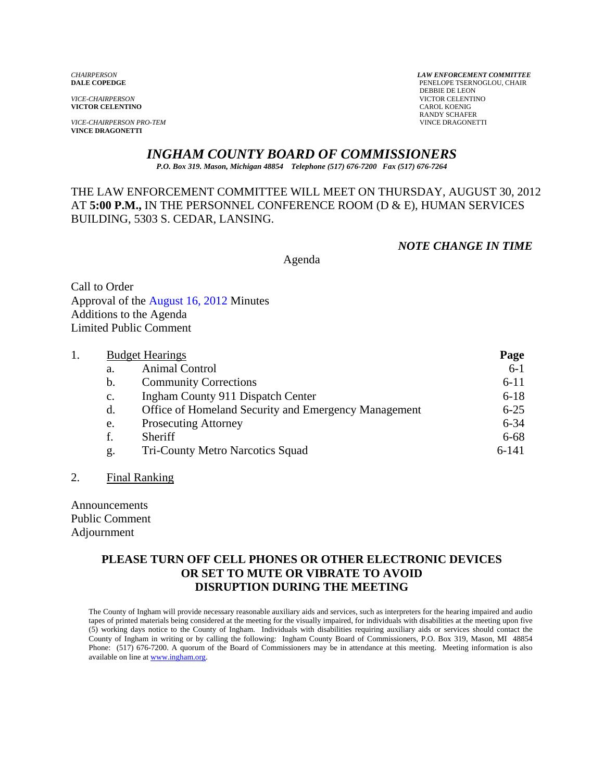**VICTOR CELENTINO** 

**VICE-CHAIRPERSON PRO-TEM VINCE DRAGONETTI** 

*CHAIRPERSON LAW ENFORCEMENT COMMITTEE* PENELOPE TSERNOGLOU, CHAIR **DEBBIE DE LEON<br>VICE-CHAIRPERSON**<br>VICTOR CELENTII **VICTOR CELENTINO**<br>CAROL KOENIG RANDY SCHAFER<br>VINCE DRAGONETTI

# *INGHAM COUNTY BOARD OF COMMISSIONERS*

*P.O. Box 319. Mason, Michigan 48854 Telephone (517) 676-7200 Fax (517) 676-7264*

# THE LAW ENFORCEMENT COMMITTEE WILL MEET ON THURSDAY, AUGUST 30, 2012 AT **5:00 P.M.,** IN THE PERSONNEL CONFERENCE ROOM (D & E), HUMAN SERVICES BUILDING, 5303 S. CEDAR, LANSING.

#### *NOTE CHANGE IN TIME*

Agenda

Call to Order Approval [of the August 16, 2012 Minutes](#page-1-0)  Additions to the Agenda Limited Public Comment

| <b>Budget Hearings</b> |                                                      | Page      |
|------------------------|------------------------------------------------------|-----------|
| a.                     | Animal Control                                       | $6-1$     |
| b.                     | <b>Community Corrections</b>                         | $6 - 11$  |
| $\mathbf{c}$ .         | Ingham County 911 Dispatch Center                    | $6 - 18$  |
| d.                     | Office of Homeland Security and Emergency Management | $6 - 25$  |
| e.                     | <b>Prosecuting Attorney</b>                          | $6 - 34$  |
| f.                     | Sheriff                                              | $6 - 68$  |
| g.                     | Tri-County Metro Narcotics Squad                     | $6 - 141$ |

#### 2. Final Ranking

Announcements Public Comment Adjournment

## **PLEASE TURN OFF CELL PHONES OR OTHER ELECTRONIC DEVICES OR SET TO MUTE OR VIBRATE TO AVOID DISRUPTION DURING THE MEETING**

The County of Ingham will provide necessary reasonable auxiliary aids and services, such as interpreters for the hearing impaired and audio tapes of printed materials being considered at the meeting for the visually impaired, for individuals with disabilities at the meeting upon five (5) working days notice to the County of Ingham. Individuals with disabilities requiring auxiliary aids or services should contact the County of Ingham in writing or by calling the following: Ingham County Board of Commissioners, P.O. Box 319, Mason, MI 48854 Phone: (517) 676-7200. A quorum of the Board of Commissioners may be in attendance at this meeting. Meeting information is also available on line at www.ingham.org.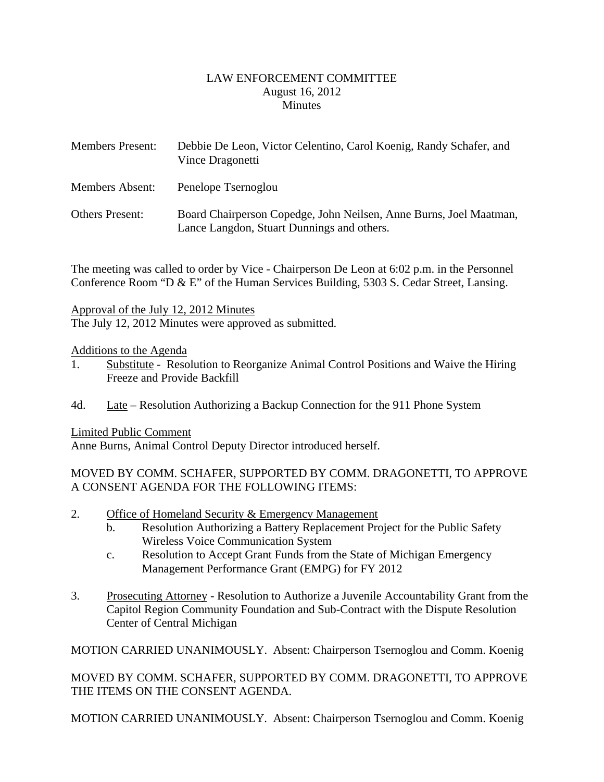### LAW ENFORCEMENT COMMITTEE August 16, 2012 **Minutes**

<span id="page-1-0"></span>

| <b>Members Present:</b> | Debbie De Leon, Victor Celentino, Carol Koenig, Randy Schafer, and<br>Vince Dragonetti                           |
|-------------------------|------------------------------------------------------------------------------------------------------------------|
| <b>Members Absent:</b>  | Penelope Tsernoglou                                                                                              |
| <b>Others Present:</b>  | Board Chairperson Copedge, John Neilsen, Anne Burns, Joel Maatman,<br>Lance Langdon, Stuart Dunnings and others. |

The meeting was called to order by Vice - Chairperson De Leon at 6:02 p.m. in the Personnel Conference Room "D & E" of the Human Services Building, 5303 S. Cedar Street, Lansing.

### Approval of the July 12, 2012 Minutes

The July 12, 2012 Minutes were approved as submitted.

### Additions to the Agenda

- 1. Substitute Resolution to Reorganize Animal Control Positions and Waive the Hiring Freeze and Provide Backfill
- 4d. Late Resolution Authorizing a Backup Connection for the 911 Phone System

Limited Public Comment

Anne Burns, Animal Control Deputy Director introduced herself.

# MOVED BY COMM. SCHAFER, SUPPORTED BY COMM. DRAGONETTI, TO APPROVE A CONSENT AGENDA FOR THE FOLLOWING ITEMS:

- 2. Office of Homeland Security & Emergency Management
	- b. Resolution Authorizing a Battery Replacement Project for the Public Safety Wireless Voice Communication System
	- c. Resolution to Accept Grant Funds from the State of Michigan Emergency Management Performance Grant (EMPG) for FY 2012
- 3. Prosecuting Attorney Resolution to Authorize a Juvenile Accountability Grant from the Capitol Region Community Foundation and Sub-Contract with the Dispute Resolution Center of Central Michigan

MOTION CARRIED UNANIMOUSLY. Absent: Chairperson Tsernoglou and Comm. Koenig

MOVED BY COMM. SCHAFER, SUPPORTED BY COMM. DRAGONETTI, TO APPROVE THE ITEMS ON THE CONSENT AGENDA.

MOTION CARRIED UNANIMOUSLY. Absent: Chairperson Tsernoglou and Comm. Koenig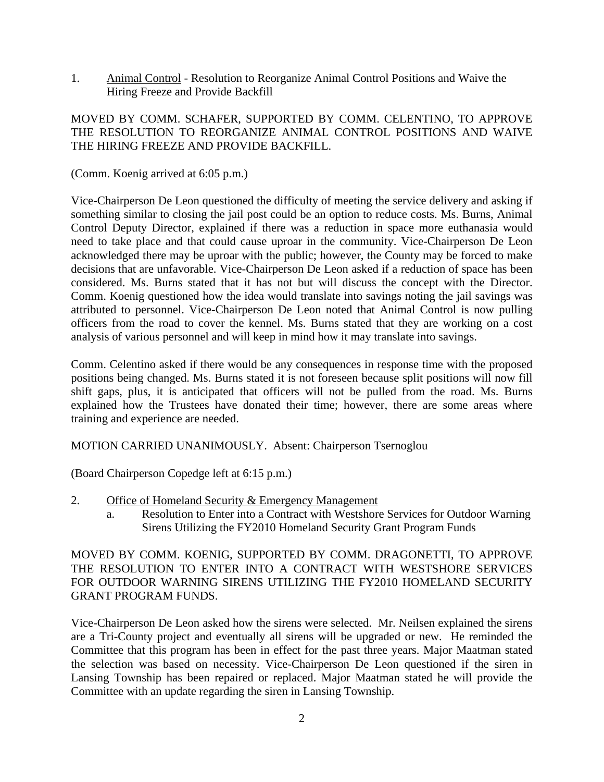1. Animal Control - Resolution to Reorganize Animal Control Positions and Waive the Hiring Freeze and Provide Backfill

## MOVED BY COMM. SCHAFER, SUPPORTED BY COMM. CELENTINO, TO APPROVE THE RESOLUTION TO REORGANIZE ANIMAL CONTROL POSITIONS AND WAIVE THE HIRING FREEZE AND PROVIDE BACKFILL.

(Comm. Koenig arrived at 6:05 p.m.)

Vice-Chairperson De Leon questioned the difficulty of meeting the service delivery and asking if something similar to closing the jail post could be an option to reduce costs. Ms. Burns, Animal Control Deputy Director, explained if there was a reduction in space more euthanasia would need to take place and that could cause uproar in the community. Vice-Chairperson De Leon acknowledged there may be uproar with the public; however, the County may be forced to make decisions that are unfavorable. Vice-Chairperson De Leon asked if a reduction of space has been considered. Ms. Burns stated that it has not but will discuss the concept with the Director. Comm. Koenig questioned how the idea would translate into savings noting the jail savings was attributed to personnel. Vice-Chairperson De Leon noted that Animal Control is now pulling officers from the road to cover the kennel. Ms. Burns stated that they are working on a cost analysis of various personnel and will keep in mind how it may translate into savings.

Comm. Celentino asked if there would be any consequences in response time with the proposed positions being changed. Ms. Burns stated it is not foreseen because split positions will now fill shift gaps, plus, it is anticipated that officers will not be pulled from the road. Ms. Burns explained how the Trustees have donated their time; however, there are some areas where training and experience are needed.

MOTION CARRIED UNANIMOUSLY. Absent: Chairperson Tsernoglou

(Board Chairperson Copedge left at 6:15 p.m.)

- 2. Office of Homeland Security & Emergency Management
	- a. Resolution to Enter into a Contract with Westshore Services for Outdoor Warning Sirens Utilizing the FY2010 Homeland Security Grant Program Funds

MOVED BY COMM. KOENIG, SUPPORTED BY COMM. DRAGONETTI, TO APPROVE THE RESOLUTION TO ENTER INTO A CONTRACT WITH WESTSHORE SERVICES FOR OUTDOOR WARNING SIRENS UTILIZING THE FY2010 HOMELAND SECURITY GRANT PROGRAM FUNDS.

Vice-Chairperson De Leon asked how the sirens were selected. Mr. Neilsen explained the sirens are a Tri-County project and eventually all sirens will be upgraded or new. He reminded the Committee that this program has been in effect for the past three years. Major Maatman stated the selection was based on necessity. Vice-Chairperson De Leon questioned if the siren in Lansing Township has been repaired or replaced. Major Maatman stated he will provide the Committee with an update regarding the siren in Lansing Township.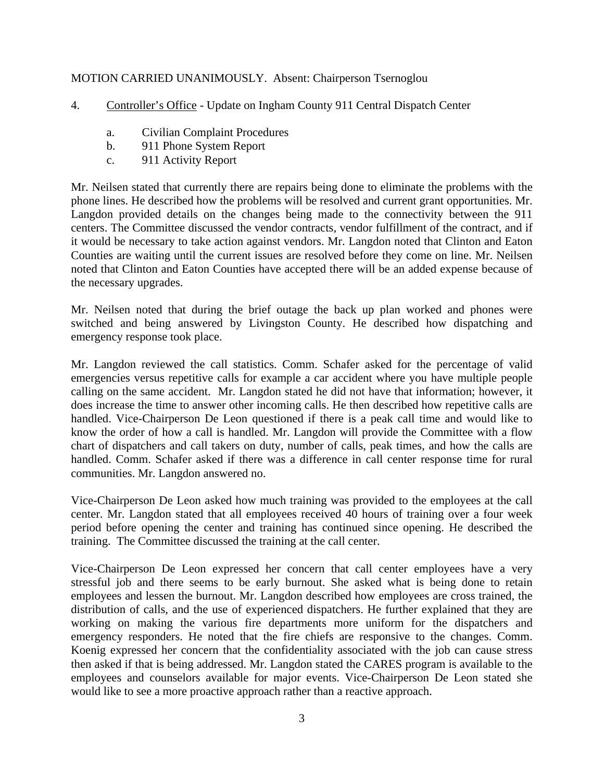## MOTION CARRIED UNANIMOUSLY. Absent: Chairperson Tsernoglou

- 4. Controller's Office Update on Ingham County 911 Central Dispatch Center
	- a. Civilian Complaint Procedures
	- b. 911 Phone System Report
	- c. 911 Activity Report

Mr. Neilsen stated that currently there are repairs being done to eliminate the problems with the phone lines. He described how the problems will be resolved and current grant opportunities. Mr. Langdon provided details on the changes being made to the connectivity between the 911 centers. The Committee discussed the vendor contracts, vendor fulfillment of the contract, and if it would be necessary to take action against vendors. Mr. Langdon noted that Clinton and Eaton Counties are waiting until the current issues are resolved before they come on line. Mr. Neilsen noted that Clinton and Eaton Counties have accepted there will be an added expense because of the necessary upgrades.

Mr. Neilsen noted that during the brief outage the back up plan worked and phones were switched and being answered by Livingston County. He described how dispatching and emergency response took place.

Mr. Langdon reviewed the call statistics. Comm. Schafer asked for the percentage of valid emergencies versus repetitive calls for example a car accident where you have multiple people calling on the same accident. Mr. Langdon stated he did not have that information; however, it does increase the time to answer other incoming calls. He then described how repetitive calls are handled. Vice-Chairperson De Leon questioned if there is a peak call time and would like to know the order of how a call is handled. Mr. Langdon will provide the Committee with a flow chart of dispatchers and call takers on duty, number of calls, peak times, and how the calls are handled. Comm. Schafer asked if there was a difference in call center response time for rural communities. Mr. Langdon answered no.

Vice-Chairperson De Leon asked how much training was provided to the employees at the call center. Mr. Langdon stated that all employees received 40 hours of training over a four week period before opening the center and training has continued since opening. He described the training. The Committee discussed the training at the call center.

Vice-Chairperson De Leon expressed her concern that call center employees have a very stressful job and there seems to be early burnout. She asked what is being done to retain employees and lessen the burnout. Mr. Langdon described how employees are cross trained, the distribution of calls, and the use of experienced dispatchers. He further explained that they are working on making the various fire departments more uniform for the dispatchers and emergency responders. He noted that the fire chiefs are responsive to the changes. Comm. Koenig expressed her concern that the confidentiality associated with the job can cause stress then asked if that is being addressed. Mr. Langdon stated the CARES program is available to the employees and counselors available for major events. Vice-Chairperson De Leon stated she would like to see a more proactive approach rather than a reactive approach.